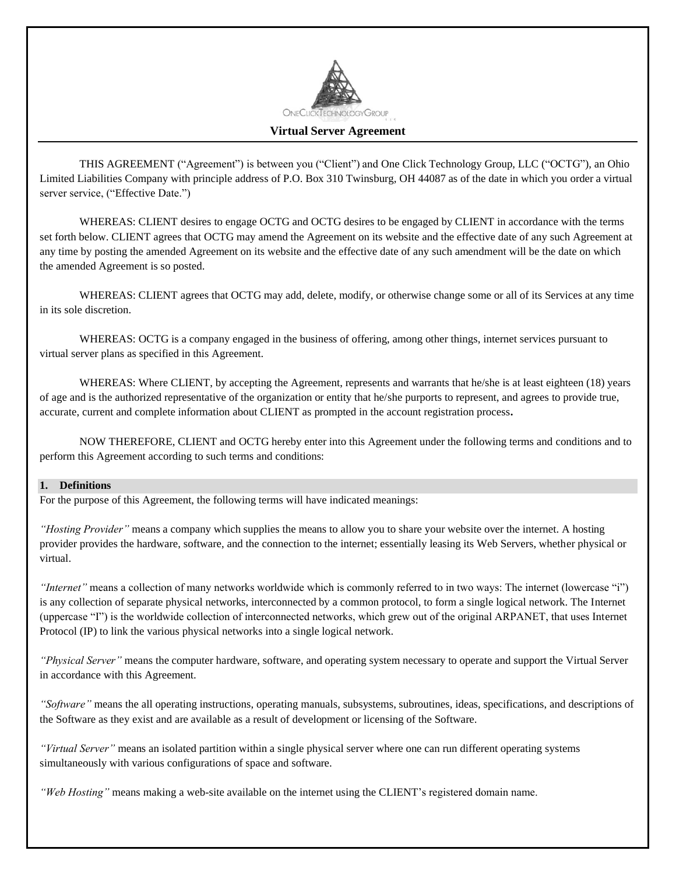

# **Virtual Server Agreement**

THIS AGREEMENT ("Agreement") is between you ("Client") and One Click Technology Group, LLC ("OCTG"), an Ohio Limited Liabilities Company with principle address of P.O. Box 310 Twinsburg, OH 44087 as of the date in which you order a virtual server service, ("Effective Date.")

WHEREAS: CLIENT desires to engage OCTG and OCTG desires to be engaged by CLIENT in accordance with the terms set forth below. CLIENT agrees that OCTG may amend the Agreement on its website and the effective date of any such Agreement at any time by posting the amended Agreement on its website and the effective date of any such amendment will be the date on which the amended Agreement is so posted.

WHEREAS: CLIENT agrees that OCTG may add, delete, modify, or otherwise change some or all of its Services at any time in its sole discretion.

WHEREAS: OCTG is a company engaged in the business of offering, among other things, internet services pursuant to virtual server plans as specified in this Agreement.

WHEREAS: Where CLIENT, by accepting the Agreement, represents and warrants that he/she is at least eighteen (18) years of age and is the authorized representative of the organization or entity that he/she purports to represent, and agrees to provide true, accurate, current and complete information about CLIENT as prompted in the account registration process**.** 

NOW THEREFORE, CLIENT and OCTG hereby enter into this Agreement under the following terms and conditions and to perform this Agreement according to such terms and conditions:

#### **1. Definitions**

For the purpose of this Agreement, the following terms will have indicated meanings:

*"Hosting Provider"* means a company which supplies the means to allow you to share your website over the internet. A hosting provider provides the hardware, software, and the connection to the internet; essentially leasing its Web Servers, whether physical or virtual.

*"Internet"* means a collection of many networks worldwide which is commonly referred to in two ways: The internet (lowercase "i") is any collection of separate physical networks, interconnected by a common protocol, to form a single logical network. The Internet (uppercase "I") is the worldwide collection of interconnected networks, which grew out of the original ARPANET, that uses Internet Protocol (IP) to link the various physical networks into a single logical network.

*"Physical Server"* means the computer hardware, software, and operating system necessary to operate and support the Virtual Server in accordance with this Agreement.

*"Software"* means the all operating instructions, operating manuals, subsystems, subroutines, ideas, specifications, and descriptions of the Software as they exist and are available as a result of development or licensing of the Software.

*"Virtual Server"* means an isolated partition within a single physical server where one can run different operating systems simultaneously with various configurations of space and software.

*"Web Hosting"* means making a web-site available on the internet using the CLIENT's registered domain name.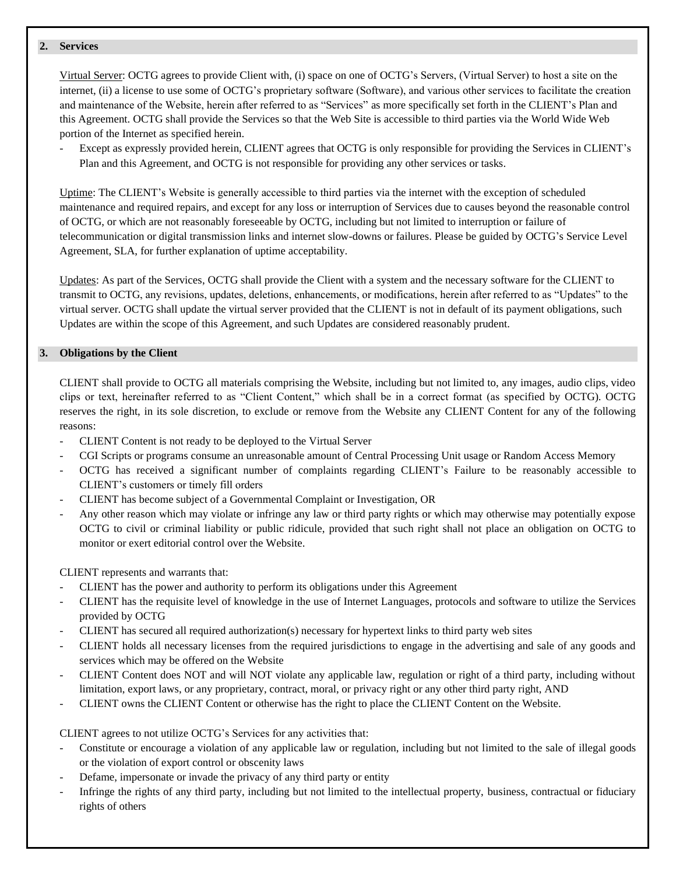### **2. Services**

Virtual Server: OCTG agrees to provide Client with, (i) space on one of OCTG's Servers, (Virtual Server) to host a site on the internet, (ii) a license to use some of OCTG's proprietary software (Software), and various other services to facilitate the creation and maintenance of the Website, herein after referred to as "Services" as more specifically set forth in the CLIENT's Plan and this Agreement. OCTG shall provide the Services so that the Web Site is accessible to third parties via the World Wide Web portion of the Internet as specified herein.

Except as expressly provided herein, CLIENT agrees that OCTG is only responsible for providing the Services in CLIENT's Plan and this Agreement, and OCTG is not responsible for providing any other services or tasks.

Uptime: The CLIENT's Website is generally accessible to third parties via the internet with the exception of scheduled maintenance and required repairs, and except for any loss or interruption of Services due to causes beyond the reasonable control of OCTG, or which are not reasonably foreseeable by OCTG, including but not limited to interruption or failure of telecommunication or digital transmission links and internet slow-downs or failures. Please be guided by OCTG's Service Level Agreement, SLA, for further explanation of uptime acceptability.

Updates: As part of the Services, OCTG shall provide the Client with a system and the necessary software for the CLIENT to transmit to OCTG, any revisions, updates, deletions, enhancements, or modifications, herein after referred to as "Updates" to the virtual server. OCTG shall update the virtual server provided that the CLIENT is not in default of its payment obligations, such Updates are within the scope of this Agreement, and such Updates are considered reasonably prudent.

## **3. Obligations by the Client**

CLIENT shall provide to OCTG all materials comprising the Website, including but not limited to, any images, audio clips, video clips or text, hereinafter referred to as "Client Content," which shall be in a correct format (as specified by OCTG). OCTG reserves the right, in its sole discretion, to exclude or remove from the Website any CLIENT Content for any of the following reasons:

- CLIENT Content is not ready to be deployed to the Virtual Server
- CGI Scripts or programs consume an unreasonable amount of Central Processing Unit usage or Random Access Memory
- OCTG has received a significant number of complaints regarding CLIENT's Failure to be reasonably accessible to CLIENT's customers or timely fill orders
- CLIENT has become subject of a Governmental Complaint or Investigation, OR
- Any other reason which may violate or infringe any law or third party rights or which may otherwise may potentially expose OCTG to civil or criminal liability or public ridicule, provided that such right shall not place an obligation on OCTG to monitor or exert editorial control over the Website.

CLIENT represents and warrants that:

- CLIENT has the power and authority to perform its obligations under this Agreement
- CLIENT has the requisite level of knowledge in the use of Internet Languages, protocols and software to utilize the Services provided by OCTG
- CLIENT has secured all required authorization(s) necessary for hypertext links to third party web sites
- CLIENT holds all necessary licenses from the required jurisdictions to engage in the advertising and sale of any goods and services which may be offered on the Website
- CLIENT Content does NOT and will NOT violate any applicable law, regulation or right of a third party, including without limitation, export laws, or any proprietary, contract, moral, or privacy right or any other third party right, AND
- CLIENT owns the CLIENT Content or otherwise has the right to place the CLIENT Content on the Website.

CLIENT agrees to not utilize OCTG's Services for any activities that:

- Constitute or encourage a violation of any applicable law or regulation, including but not limited to the sale of illegal goods or the violation of export control or obscenity laws
- Defame, impersonate or invade the privacy of any third party or entity
- Infringe the rights of any third party, including but not limited to the intellectual property, business, contractual or fiduciary rights of others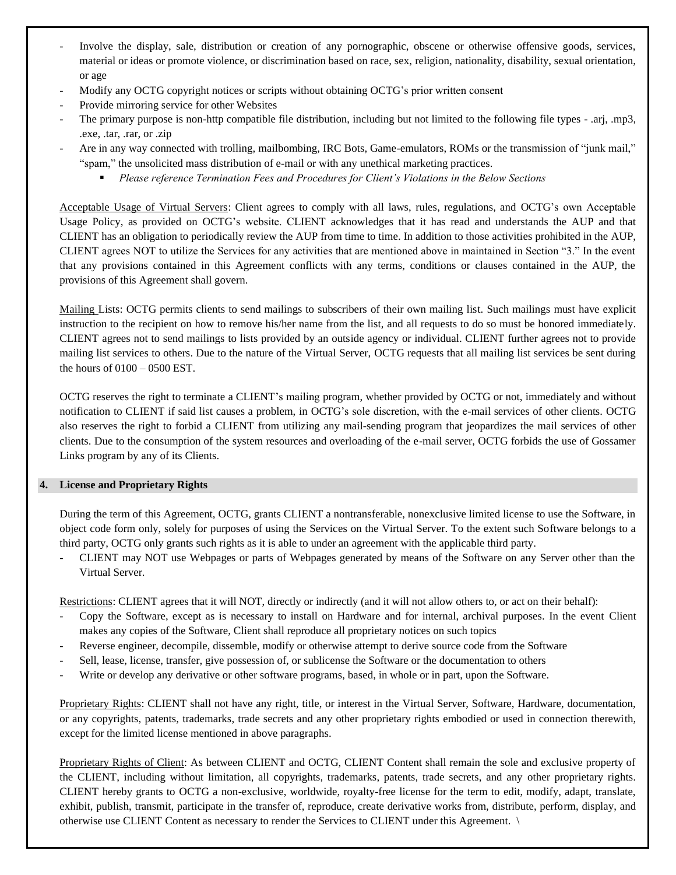- Involve the display, sale, distribution or creation of any pornographic, obscene or otherwise offensive goods, services, material or ideas or promote violence, or discrimination based on race, sex, religion, nationality, disability, sexual orientation, or age
- Modify any OCTG copyright notices or scripts without obtaining OCTG's prior written consent
- Provide mirroring service for other Websites
- The primary purpose is non-http compatible file distribution, including but not limited to the following file types .arj, .mp3, .exe, .tar, .rar, or .zip
- Are in any way connected with trolling, mailbombing, IRC Bots, Game-emulators, ROMs or the transmission of "junk mail," "spam," the unsolicited mass distribution of e-mail or with any unethical marketing practices.
	- *Please reference Termination Fees and Procedures for Client's Violations in the Below Sections*

Acceptable Usage of Virtual Servers: Client agrees to comply with all laws, rules, regulations, and OCTG's own Acceptable Usage Policy, as provided on OCTG's website. CLIENT acknowledges that it has read and understands the AUP and that CLIENT has an obligation to periodically review the AUP from time to time. In addition to those activities prohibited in the AUP, CLIENT agrees NOT to utilize the Services for any activities that are mentioned above in maintained in Section "3." In the event that any provisions contained in this Agreement conflicts with any terms, conditions or clauses contained in the AUP, the provisions of this Agreement shall govern.

Mailing Lists: OCTG permits clients to send mailings to subscribers of their own mailing list. Such mailings must have explicit instruction to the recipient on how to remove his/her name from the list, and all requests to do so must be honored immediately. CLIENT agrees not to send mailings to lists provided by an outside agency or individual. CLIENT further agrees not to provide mailing list services to others. Due to the nature of the Virtual Server, OCTG requests that all mailing list services be sent during the hours of 0100 – 0500 EST.

OCTG reserves the right to terminate a CLIENT's mailing program, whether provided by OCTG or not, immediately and without notification to CLIENT if said list causes a problem, in OCTG's sole discretion, with the e-mail services of other clients. OCTG also reserves the right to forbid a CLIENT from utilizing any mail-sending program that jeopardizes the mail services of other clients. Due to the consumption of the system resources and overloading of the e-mail server, OCTG forbids the use of Gossamer Links program by any of its Clients.

## **4. License and Proprietary Rights**

During the term of this Agreement, OCTG, grants CLIENT a nontransferable, nonexclusive limited license to use the Software, in object code form only, solely for purposes of using the Services on the Virtual Server. To the extent such Software belongs to a third party, OCTG only grants such rights as it is able to under an agreement with the applicable third party.

- CLIENT may NOT use Webpages or parts of Webpages generated by means of the Software on any Server other than the Virtual Server.

Restrictions: CLIENT agrees that it will NOT, directly or indirectly (and it will not allow others to, or act on their behalf):

- Copy the Software, except as is necessary to install on Hardware and for internal, archival purposes. In the event Client makes any copies of the Software, Client shall reproduce all proprietary notices on such topics
- Reverse engineer, decompile, dissemble, modify or otherwise attempt to derive source code from the Software
- Sell, lease, license, transfer, give possession of, or sublicense the Software or the documentation to others
- Write or develop any derivative or other software programs, based, in whole or in part, upon the Software.

Proprietary Rights: CLIENT shall not have any right, title, or interest in the Virtual Server, Software, Hardware, documentation, or any copyrights, patents, trademarks, trade secrets and any other proprietary rights embodied or used in connection therewith, except for the limited license mentioned in above paragraphs.

Proprietary Rights of Client: As between CLIENT and OCTG, CLIENT Content shall remain the sole and exclusive property of the CLIENT, including without limitation, all copyrights, trademarks, patents, trade secrets, and any other proprietary rights. CLIENT hereby grants to OCTG a non-exclusive, worldwide, royalty-free license for the term to edit, modify, adapt, translate, exhibit, publish, transmit, participate in the transfer of, reproduce, create derivative works from, distribute, perform, display, and otherwise use CLIENT Content as necessary to render the Services to CLIENT under this Agreement. \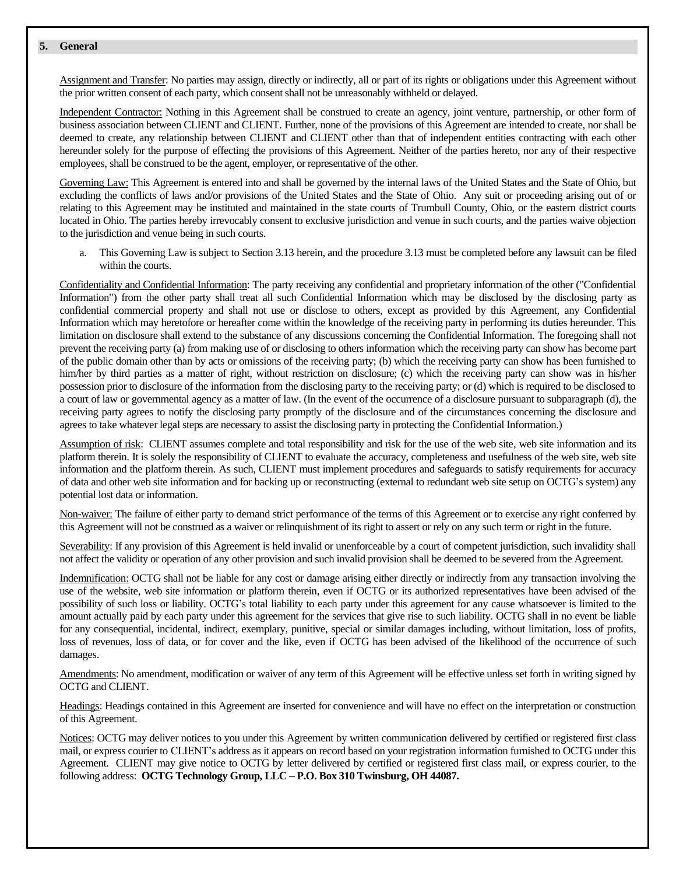#### **5. General**

Assignment and Transfer: No parties may assign, directly or indirectly, all or part of its rights or obligations under this Agreement without the prior written consent of each party, which consent shall not be unreasonably withheld or delayed.

Independent Contractor: Nothing in this Agreement shall be construed to create an agency, joint venture, partnership, or other form of business association between CLIENT and CLIENT. Further, none of the provisions of this Agreement are intended to create, nor shall be deemed to create, any relationship between CLIENT and CLIENT other than that of independent entities contracting with each other hereunder solely for the purpose of effecting the provisions of this Agreement. Neither of the parties hereto, nor any of their respective employees, shall be construed to be the agent, employer, or representative of the other.

Governing Law: This Agreement is entered into and shall be governed by the internal laws of the United States and the State of Ohio, but excluding the conflicts of laws and/or provisions of the United States and the State of Ohio. Any suit or proceeding arising out of or relating to this Agreement may be instituted and maintained in the state courts of Trumbull County, Ohio, or the eastern district courts located in Ohio. The parties hereby irrevocably consent to exclusive jurisdiction and venue in such courts, and the parties waive objection to the jurisdiction and venue being in such courts.

This Governing Law is subject to Section 3.13 herein, and the procedure 3.13 must be completed before any lawsuit can be filed within the courts.

Confidentiality and Confidential Information: The party receiving any confidential and proprietary information of the other ("Confidential Information") from the other party shall treat all such Confidential Information which may be disclosed by the disclosing party as confidential commercial property and shall not use or disclose to others, except as provided by this Agreement, any Confidential Information which may heretofore or hereafter come within the knowledge of the receiving party in performing its duties hereunder. This limitation on disclosure shall extend to the substance of any discussions concerning the Confidential Information. The foregoing shall not prevent the receiving party (a) from making use of or disclosing to others information which the receiving party can show has become part of the public domain other than by acts or omissions of the receiving party; (b) which the receiving party can show has been furnished to him/her by third parties as a matter of right, without restriction on disclosure; (c) which the receiving party can show was in his/her possession prior to disclosure of the information from the disclosing party to the receiving party; or (d) which is required to be disclosed to a court of law or governmental agency as a matter of law. (In the event of the occurrence of a disclosure pursuant to subparagraph (d), the receiving party agrees to notify the disclosing party promptly of the disclosure and of the circumstances concerning the disclosure and agrees to take whatever legal steps are necessary to assist the disclosing party in protecting the Confidential Information.)

Assumption of risk: CLIENT assumes complete and total responsibility and risk for the use of the web site, web site information and its platform therein. It is solely the responsibility of CLIENT to evaluate the accuracy, completeness and usefulness of the web site, web site information and the platform therein. As such, CLIENT must implement procedures and safeguards to satisfy requirements for accuracy of data and other web site information and for backing up or reconstructing (external to redundant web site setup on OCTG's system) any potential lost data or information.

Non-waiver: The failure of either party to demand strict performance of the terms of this Agreement or to exercise any right conferred by this Agreement will not be construed as a waiver or relinquishment of its right to assert or rely on any such term or right in the future.

Severability: If any provision of this Agreement is held invalid or unenforceable by a court of competent jurisdiction, such invalidity shall not affect the validity or operation of any other provision and such invalid provision shall be deemed to be severed from the Agreement.

Indemnification: OCTG shall not be liable for any cost or damage arising either directly or indirectly from any transaction involving the use of the website, web site information or platform therein, even if OCTG or its authorized representatives have been advised of the possibility of such loss or liability. OCTG's total liability to each party under this agreement for any cause whatsoever is limited to the amount actually paid by each party under this agreement for the services that give rise to such liability. OCTG shall in no event be liable for any consequential, incidental, indirect, exemplary, punitive, special or similar damages including, without limitation, loss of profits, loss of revenues, loss of data, or for cover and the like, even if OCTG has been advised of the likelihood of the occurrence of such damages.

Amendments: No amendment, modification or waiver of any term of this Agreement will be effective unless set forth in writing signed by OCTG and CLIENT.

Headings: Headings contained in this Agreement are inserted for convenience and will have no effect on the interpretation or construction of this Agreement.

Notices: OCTG may deliver notices to you under this Agreement by written communication delivered by certified or registered first class mail, or express courier to CLIENT's address as it appears on record based on your registration information furnished to OCTG under this Agreement. CLIENT may give notice to OCTG by letter delivered by certified or registered first class mail, or express courier, to the following address: **OCTG Technology Group, LLC – P.O. Box 310 Twinsburg, OH 44087.**